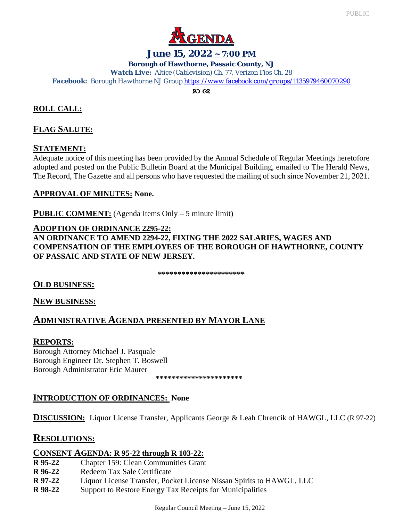

### **June 15, 2022 ~ 7:00 PM**

**Borough of Hawthorne, Passaic County, NJ**

*Watch Live: Altice (Cablevision) Ch. 77, Verizon Fios Ch. 28*

*Facebook: Borough Hawthorne NJ Grou[p https://www.facebook.com/groups/1135979460070290](https://www.facebook.com/groups/1135979460070290)*

**80 ව** 

# **ROLL CALL:**

## **FLAG SALUTE:**

## **STATEMENT:**

Adequate notice of this meeting has been provided by the Annual Schedule of Regular Meetings heretofore adopted and posted on the Public Bulletin Board at the Municipal Building, emailed to The Herald News, The Record, The Gazette and all persons who have requested the mailing of such since November 21, 2021.

### **APPROVAL OF MINUTES: None.**

**PUBLIC COMMENT:** (Agenda Items Only – 5 minute limit)

#### **ADOPTION OF ORDINANCE 2295-22:**

**AN ORDINANCE TO AMEND 2294-22, FIXING THE 2022 SALARIES, WAGES AND COMPENSATION OF THE EMPLOYEES OF THE BOROUGH OF HAWTHORNE, COUNTY OF PASSAIC AND STATE OF NEW JERSEY.**

**\*\*\*\*\*\*\*\*\*\*\*\*\*\*\*\*\*\*\*\*\*\***

### **OLD BUSINESS:**

**NEW BUSINESS:**

# **ADMINISTRATIVE AGENDA PRESENTED BY MAYOR LANE**

### **REPORTS:**

Borough Attorney Michael J. Pasquale Borough Engineer Dr. Stephen T. Boswell Borough Administrator Eric Maurer

 **\*\*\*\*\*\*\*\*\*\*\*\*\*\*\*\*\*\*\*\*\*\***

# **INTRODUCTION OF ORDINANCES: None**

**DISCUSSION:** Liquor License Transfer, Applicants George & Leah Chrencik of HAWGL, LLC (R 97-22)

# **RESOLUTIONS:**

# **CONSENT AGENDA: R 95-22 through R 103-22:**

- **R 95-22** Chapter 159: Clean Communities Grant
- **R 96-22** Redeem Tax Sale Certificate
- **R 97-22** Liquor License Transfer, Pocket License Nissan Spirits to HAWGL, LLC
- **R 98-22** Support to Restore Energy Tax Receipts for Municipalities